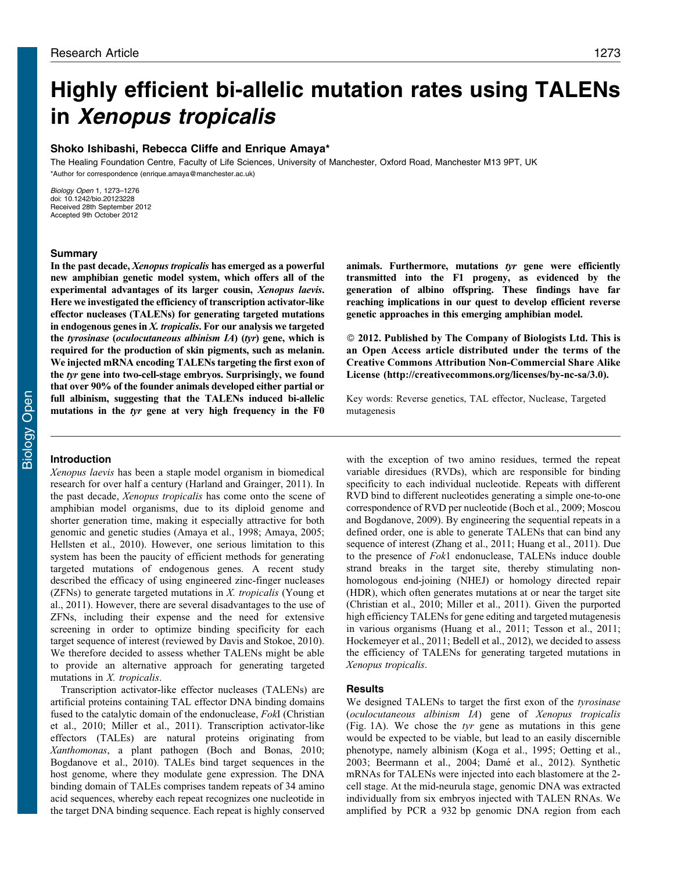# Highly efficient bi-allelic mutation rates using TALENs in Xenopus tropicalis

# Shoko Ishibashi, Rebecca Cliffe and Enrique Amaya\*

The Healing Foundation Centre, Faculty of Life Sciences, University of Manchester, Oxford Road, Manchester M13 9PT, UK \*Author for correspondence ([enrique.amaya@manchester.ac.uk\)](mailto:enrique.amaya@manchester.ac.uk)

Biology Open 1, 1273–1276 doi: 10.1242/bio.20123228 Received 28th September 2012 Accepted 9th October 2012

# Summary

In the past decade, Xenopus tropicalis has emerged as a powerful new amphibian genetic model system, which offers all of the experimental advantages of its larger cousin, Xenopus laevis. Here we investigated the efficiency of transcription activator-like effector nucleases (TALENs) for generating targeted mutations in endogenous genes in  $X$ . tropicalis. For our analysis we targeted the tyrosinase (oculocutaneous albinism IA) (tyr) gene, which is required for the production of skin pigments, such as melanin. We injected mRNA encoding TALENs targeting the first exon of the tyr gene into two-cell-stage embryos. Surprisingly, we found that over 90% of the founder animals developed either partial or full albinism, suggesting that the TALENs induced bi-allelic mutations in the tyr gene at very high frequency in the F0

# Introduction

Xenopus laevis has been a staple model organism in biomedical research for over half a century ([Harland and Grainger, 2011\)](#page-3-0). In the past decade, Xenopus tropicalis has come onto the scene of amphibian model organisms, due to its diploid genome and shorter generation time, making it especially attractive for both genomic and genetic studies [\(Amaya et al., 1998; Amaya, 2005](#page-3-0); [Hellsten et al., 2010\)](#page-3-0). However, one serious limitation to this system has been the paucity of efficient methods for generating targeted mutations of endogenous genes. A recent study described the efficacy of using engineered zinc-finger nucleases (ZFNs) to generate targeted mutations in  $X$ . tropicalis [\(Young et](#page-3-0) [al., 2011\)](#page-3-0). However, there are several disadvantages to the use of ZFNs, including their expense and the need for extensive screening in order to optimize binding specificity for each target sequence of interest (reviewed by [Davis and Stokoe, 2010](#page-3-0)). We therefore decided to assess whether TALENs might be able to provide an alternative approach for generating targeted mutations in X. tropicalis.

Transcription activator-like effector nucleases (TALENs) are artificial proteins containing TAL effector DNA binding domains fused to the catalytic domain of the endonuclease, FokI ([Christian](#page-3-0) [et al., 2010; Miller et al., 2011](#page-3-0)). Transcription activator-like effectors (TALEs) are natural proteins originating from Xanthomonas, a plant pathogen [\(Boch and Bonas, 2010](#page-3-0); [Bogdanove et al., 2010](#page-3-0)). TALEs bind target sequences in the host genome, where they modulate gene expression. The DNA binding domain of TALEs comprises tandem repeats of 34 amino acid sequences, whereby each repeat recognizes one nucleotide in the target DNA binding sequence. Each repeat is highly conserved animals. Furthermore, mutations tyr gene were efficiently transmitted into the F1 progeny, as evidenced by the generation of albino offspring. These findings have far reaching implications in our quest to develop efficient reverse genetic approaches in this emerging amphibian model.

- 2012. Published by The Company of Biologists Ltd. This is an Open Access article distributed under the terms of the Creative Commons Attribution Non-Commercial Share Alike License ([http://creativecommons.org/licenses/by-nc-sa/3.0\)](http://creativecommons.org/licenses/by-nc-sa/3.0).

Key words: Reverse genetics, TAL effector, Nuclease, Targeted mutagenesis

with the exception of two amino residues, termed the repeat variable diresidues (RVDs), which are responsible for binding specificity to each individual nucleotide. Repeats with different RVD bind to different nucleotides generating a simple one-to-one correspondence of RVD per nucleotide ([Boch et al., 2009](#page-3-0); [Moscou](#page-3-0) [and Bogdanove, 2009](#page-3-0)). By engineering the sequential repeats in a defined order, one is able to generate TALENs that can bind any sequence of interest ([Zhang et al., 2011; Huang et al., 2011](#page-3-0)). Due to the presence of Fok1 endonuclease, TALENs induce double strand breaks in the target site, thereby stimulating nonhomologous end-joining (NHEJ) or homology directed repair (HDR), which often generates mutations at or near the target site ([Christian et al., 2010; Miller et al., 2011](#page-3-0)). Given the purported high efficiency TALENs for gene editing and targeted mutagenesis in various organisms ([Huang et al., 2011](#page-3-0); [Tesson et al., 2011](#page-3-0); [Hockemeyer et al., 2011](#page-3-0); [Bedell et al., 2012](#page-3-0)), we decided to assess the efficiency of TALENs for generating targeted mutations in Xenopus tropicalis.

# **Results**

We designed TALENs to target the first exon of the tyrosinase (oculocutaneous albinism IA) gene of Xenopus tropicalis ([Fig. 1A\)](#page-1-0). We chose the tyr gene as mutations in this gene would be expected to be viable, but lead to an easily discernible phenotype, namely albinism [\(Koga et al., 1995](#page-3-0); [Oetting et al.,](#page-3-0) [2003; Beermann et al., 2004;](#page-3-0) Damé [et al., 2012](#page-3-0)). Synthetic mRNAs for TALENs were injected into each blastomere at the 2 cell stage. At the mid-neurula stage, genomic DNA was extracted individually from six embryos injected with TALEN RNAs. We amplified by PCR a 932 bp genomic DNA region from each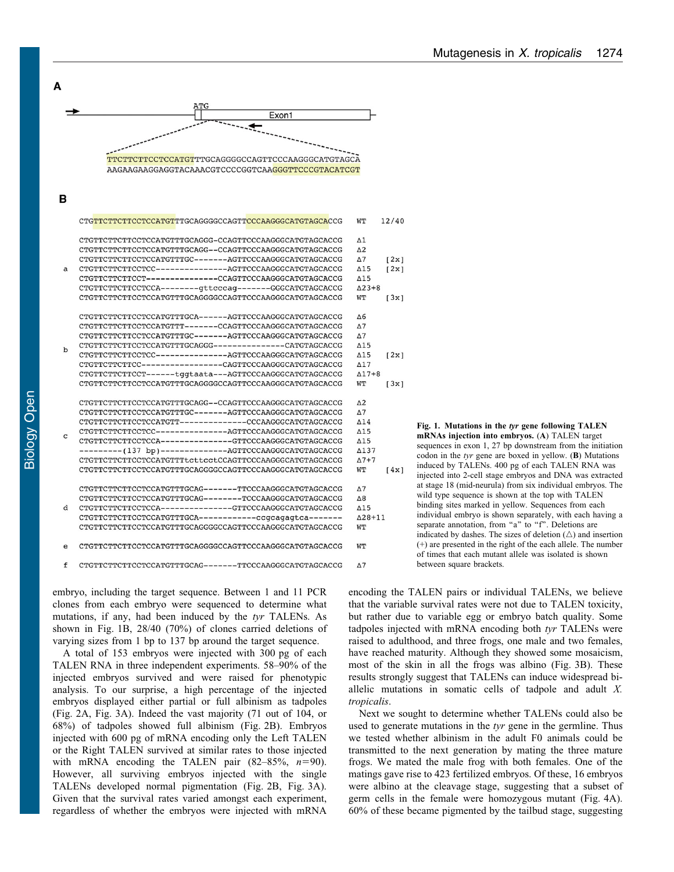<span id="page-1-0"></span>

| A |                                                          |                  |       |  |  |  |
|---|----------------------------------------------------------|------------------|-------|--|--|--|
|   | ATG<br>Exon1                                             |                  |       |  |  |  |
|   |                                                          |                  |       |  |  |  |
|   |                                                          |                  |       |  |  |  |
|   |                                                          |                  |       |  |  |  |
|   | TTCTTCTTCCTCCATGTTTGCAGGGGCCAGTTCCCAAGGGCATGTAGCA        |                  |       |  |  |  |
|   | AAGAAGAAGGAGGTACAAACGTCCCCGGTCAAGGGTTCCCGTACATCGT        |                  |       |  |  |  |
| в |                                                          |                  |       |  |  |  |
|   | CTGTTCTTCTTCCCCATGTTTGCAGGGGCCAGTTCCCAAGGGCATGTAGCACCG   | WT               | 12/40 |  |  |  |
|   | CTGTTCTTCTTCCTCCATGTTTGCAGGG-CCAGTTCCCAAGGGCATGTAGCACCG  | $\Delta$ 1       |       |  |  |  |
|   | CTGTTCTTCTTCCTCCATGTTTGCAGG--CCAGTTCCCAAGGGCATGTAGCACCG  | $\Delta 2$       |       |  |  |  |
|   | CTGTTCTTCTTCCTCCATGTTTGC-------AGTTCCCAAGGGCATGTAGCACCG  | $\Delta$ 7       | [2x]  |  |  |  |
| a | CTGTTCTTCTTCCTCC--------------AGTTCCCAAGGGCATGTAGCACCG   | $\Delta$ 15      | [2x]  |  |  |  |
|   | CTGTTCTTCTTCCT--------------CCAGTTCCCAAGGGCATGTAGCACCG   | $\Delta$ 15      |       |  |  |  |
|   | CTGTTCTTCTTCCTCCA--------gttcccag-------GGGCATGTAGCACCG  | $\Delta$ 23+8    |       |  |  |  |
|   | CTGTTCTTCTTCCTCCATGTTTGCAGGGGCCAGTTCCCAAGGGCATGTAGCACCG  | WT               | [3x]  |  |  |  |
|   | CTGTTCTTCTTCCTCCATGTTTGCA------AGTTCCCAAGGGCATGTAGCACCG  | $\Delta 6$       |       |  |  |  |
|   | CTGTTCTTCTTCCTCCATGTTT-------CCAGTTCCCAAGGGCATGTAGCACCG  | $\Delta$ 7       |       |  |  |  |
|   | CTGTTCTTCTTCCTCCATGTTTGC-------AGTTCCCAAGGGCATGTAGCACCG  | $\Delta$ 7       |       |  |  |  |
| b |                                                          | $\Delta$ 15      |       |  |  |  |
|   | CTGTTCTTCTTCCTCC--------------AGTTCCCAAGGGCATGTAGCACCG   | $\Delta$ 15      | [2x]  |  |  |  |
|   | CTGTTCTTCTTCC---------------CAGTTCCCAAGGGCATGTAGCACCG    | $\Delta$ 17      |       |  |  |  |
|   | CTGTTCTTCTTCCT------tggtaata---AGTTCCCAAGGGCATGTAGCACCG  | $\Delta$ 17+8    |       |  |  |  |
|   | CTGTTCTTCTTCCTCCATGTTTGCAGGGGCCAGTTCCCAAGGGCATGTAGCACCG  | WT               | [3x]  |  |  |  |
|   | CTGTTCTTCTTCCTCCATGTTTGCAGG--CCAGTTCCCAAGGGCATGTAGCACCG  | $\Delta$ 2       |       |  |  |  |
|   | CTGTTCTTCTTCCTCCATGTTTGC-------AGTTCCCAAGGGCATGTAGCACCG  | $\Delta$ 7       |       |  |  |  |
|   | CTGTTCTTCTTCCTCCATGTT-------------CCCAAGGGCATGTAGCACCG   | $\Delta$ 14      |       |  |  |  |
| c | CTGTTCTTCTTCCTCC--------------AGTTCCCAAGGGCATGTAGCACCG   | $\Delta$ 15      |       |  |  |  |
|   | CTGTTCTTCTTCCTCCA-------------GTTCCCAAGGGCATGTAGCACCG    | $\Delta$ 15      |       |  |  |  |
|   | --------- (137 bp)--------------AGTTCCCAAGGGCATGTAGCACCG | $\Delta$ 137     |       |  |  |  |
|   | CTGTTCTTCTTCCTCCATGTTTtcttcctCCAGTTCCCAAGGGCATGTAGCACCG  | $\Delta$ 7+7     |       |  |  |  |
|   | CTGTTCTTCTTCCTCCATGTTTGCAGGGGCCAGTTCCCAAGGGCATGTAGCACCG  | WТ               | [4x]  |  |  |  |
|   | CTGTTCTTCTTCCTCCATGTTTGCAG-------TTCCCAAGGGCATGTAGCACCG  | $\Delta 7$       |       |  |  |  |
|   | CTGTTCTTCTTCCTCCATGTTTGCAG--------TCCCAAGGGCATGTAGCACCG  | $\Delta 8$       |       |  |  |  |
| d | CTGTTCTTCTTCCTCCA-------------GTTCCCAAGGGCATGTAGCACCG    | $\Delta$ 15      |       |  |  |  |
|   | CTGTTCTTCTTCCTCCATGTTTGCA------------ccgcagagtca-------  | $\Delta 28 + 11$ |       |  |  |  |
|   | CTGTTCTTCTTCCTCCATGTTTGCAGGGGCCAGTTCCCAAGGGCATGTAGCACCG  | WT               |       |  |  |  |
| e | CTGTTCTTCTTCCTCCATGTTTGCAGGGGCCAGTTCCCAAGGGCATGTAGCACCG  | <b>WT</b>        |       |  |  |  |
|   |                                                          |                  |       |  |  |  |

f CTGTTCTTCTTCCTCCATGTTTGCAG-------TTCCCAAGGGCATGTAGCACCG

embryo, including the target sequence. Between 1 and 11 PCR clones from each embryo were sequenced to determine what mutations, if any, had been induced by the tyr TALENs. As shown in Fig. 1B, 28/40 (70%) of clones carried deletions of varying sizes from 1 bp to 137 bp around the target sequence.

A total of 153 embryos were injected with 300 pg of each TALEN RNA in three independent experiments. 58–90% of the injected embryos survived and were raised for phenotypic analysis. To our surprise, a high percentage of the injected embryos displayed either partial or full albinism as tadpoles ([Fig. 2A, Fig. 3A](#page-2-0)). Indeed the vast majority (71 out of 104, or 68%) of tadpoles showed full albinism ([Fig. 2B](#page-2-0)). Embryos injected with 600 pg of mRNA encoding only the Left TALEN or the Right TALEN survived at similar rates to those injected with mRNA encoding the TALEN pair  $(82-85\%, n=90)$ . However, all surviving embryos injected with the single TALENs developed normal pigmentation ([Fig. 2B, Fig. 3A](#page-2-0)). Given that the survival rates varied amongst each experiment, regardless of whether the embryos were injected with mRNA

 $3x$ ] Fig. 1. Mutations in the tyr gene following TALEN mRNAs injection into embryos. (A) TALEN target sequences in exon 1, 27 bp downstream from the initiation codon in the tyr gene are boxed in yellow. (B) Mutations induced by TALENs. 400 pg of each TALEN RNA was  $4x1$ injected into 2-cell stage embryos and DNA was extracted at stage 18 (mid-neurula) from six individual embryos. The wild type sequence is shown at the top with TALEN binding sites marked in yellow. Sequences from each individual embryo is shown separately, with each having a separate annotation, from "a" to "f". Deletions are indicated by dashes. The sizes of deletion  $(\triangle)$  and insertion (+) are presented in the right of the each allele. The number of times that each mutant allele was isolated is shown

encoding the TALEN pairs or individual TALENs, we believe that the variable survival rates were not due to TALEN toxicity, but rather due to variable egg or embryo batch quality. Some tadpoles injected with mRNA encoding both tyr TALENs were raised to adulthood, and three frogs, one male and two females, have reached maturity. Although they showed some mosaicism, most of the skin in all the frogs was albino [\(Fig. 3B](#page-2-0)). These results strongly suggest that TALENs can induce widespread biallelic mutations in somatic cells of tadpole and adult X. tropicalis.

between square brackets.

 $\Delta 7$ 

Next we sought to determine whether TALENs could also be used to generate mutations in the tyr gene in the germline. Thus we tested whether albinism in the adult F0 animals could be transmitted to the next generation by mating the three mature frogs. We mated the male frog with both females. One of the matings gave rise to 423 fertilized embryos. Of these, 16 embryos were albino at the cleavage stage, suggesting that a subset of germ cells in the female were homozygous mutant ([Fig. 4A](#page-3-0)). 60% of these became pigmented by the tailbud stage, suggesting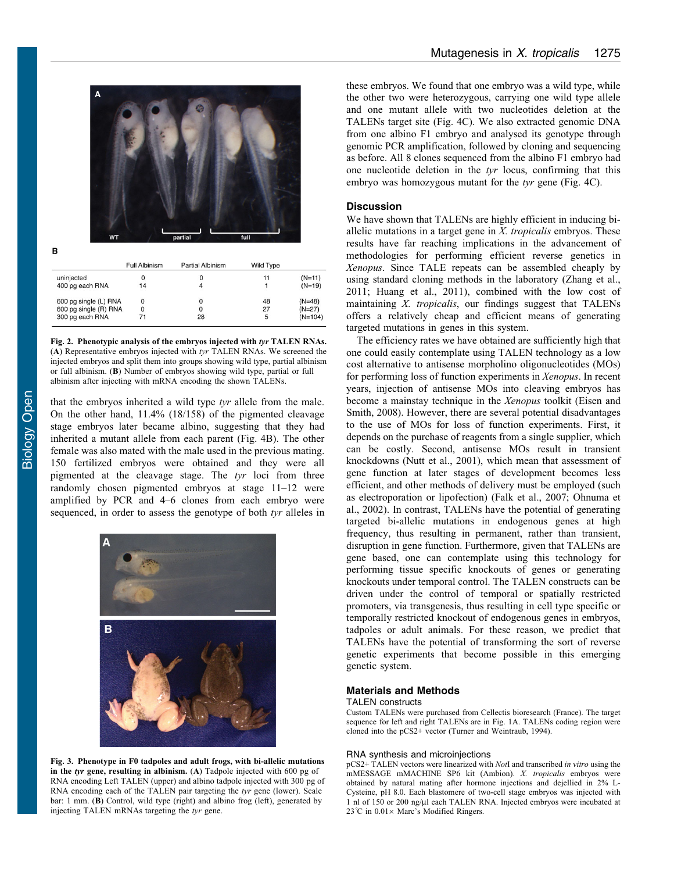<span id="page-2-0"></span>

B

|                       | Full Albinism | <b>Partial Albinism</b> | <b>Wild Type</b> |           |
|-----------------------|---------------|-------------------------|------------------|-----------|
| uninjected            | Ω             | 0                       | 11               | $(N=11)$  |
| 400 pg each RNA       | 14            | 4                       |                  | $(N=19)$  |
| 600 pg single (L) RNA | 0             | 0                       | 48               | $(N=48)$  |
| 600 pg single (R) RNA | 0             | 0                       | 27               | $(N=27)$  |
| 300 pg each RNA       | 71            | 28                      | 5                | $(N=104)$ |

Fig. 2. Phenotypic analysis of the embryos injected with tyr TALEN RNAs. (A) Representative embryos injected with tyr TALEN RNAs. We screened the injected embryos and split them into groups showing wild type, partial albinism or full albinism. (B) Number of embryos showing wild type, partial or full albinism after injecting with mRNA encoding the shown TALENs.

that the embryos inherited a wild type tyr allele from the male. On the other hand, 11.4% (18/158) of the pigmented cleavage stage embryos later became albino, suggesting that they had inherited a mutant allele from each parent ([Fig. 4B\)](#page-3-0). The other female was also mated with the male used in the previous mating. 150 fertilized embryos were obtained and they were all pigmented at the cleavage stage. The tyr loci from three randomly chosen pigmented embryos at stage 11–12 were amplified by PCR and 4–6 clones from each embryo were sequenced, in order to assess the genotype of both tyr alleles in



Fig. 3. Phenotype in F0 tadpoles and adult frogs, with bi-allelic mutations in the tyr gene, resulting in albinism. (A) Tadpole injected with 600 pg of RNA encoding Left TALEN (upper) and albino tadpole injected with 300 pg of RNA encoding each of the TALEN pair targeting the tyr gene (lower). Scale bar: 1 mm. (B) Control, wild type (right) and albino frog (left), generated by injecting TALEN mRNAs targeting the tyr gene.

these embryos. We found that one embryo was a wild type, while the other two were heterozygous, carrying one wild type allele and one mutant allele with two nucleotides deletion at the TALENs target site ([Fig. 4C](#page-3-0)). We also extracted genomic DNA from one albino F1 embryo and analysed its genotype through genomic PCR amplification, followed by cloning and sequencing as before. All 8 clones sequenced from the albino F1 embryo had one nucleotide deletion in the tyr locus, confirming that this embryo was homozygous mutant for the tyr gene ([Fig. 4C\)](#page-3-0).

# **Discussion**

We have shown that TALENs are highly efficient in inducing biallelic mutations in a target gene in  $X$ . tropicalis embryos. These results have far reaching implications in the advancement of methodologies for performing efficient reverse genetics in Xenopus. Since TALE repeats can be assembled cheaply by using standard cloning methods in the laboratory [\(Zhang et al.,](#page-3-0) [2011; Huang et al., 2011](#page-3-0)), combined with the low cost of maintaining X. tropicalis, our findings suggest that TALENs offers a relatively cheap and efficient means of generating targeted mutations in genes in this system.

The efficiency rates we have obtained are sufficiently high that one could easily contemplate using TALEN technology as a low cost alternative to antisense morpholino oligonucleotides (MOs) for performing loss of function experiments in Xenopus. In recent years, injection of antisense MOs into cleaving embryos has become a mainstay technique in the Xenopus toolkit ([Eisen and](#page-3-0) [Smith, 2008](#page-3-0)). However, there are several potential disadvantages to the use of MOs for loss of function experiments. First, it depends on the purchase of reagents from a single supplier, which can be costly. Second, antisense MOs result in transient knockdowns [\(Nutt et al., 2001\)](#page-3-0), which mean that assessment of gene function at later stages of development becomes less efficient, and other methods of delivery must be employed (such as electroporation or lipofection) ([Falk et al., 2007; Ohnuma et](#page-3-0) [al., 2002](#page-3-0)). In contrast, TALENs have the potential of generating targeted bi-allelic mutations in endogenous genes at high frequency, thus resulting in permanent, rather than transient, disruption in gene function. Furthermore, given that TALENs are gene based, one can contemplate using this technology for performing tissue specific knockouts of genes or generating knockouts under temporal control. The TALEN constructs can be driven under the control of temporal or spatially restricted promoters, via transgenesis, thus resulting in cell type specific or temporally restricted knockout of endogenous genes in embryos, tadpoles or adult animals. For these reason, we predict that TALENs have the potential of transforming the sort of reverse genetic experiments that become possible in this emerging genetic system.

# Materials and Methods

## TALEN constructs

Custom TALENs were purchased from Cellectis bioresearch (France). The target sequence for left and right TALENs are in [Fig. 1A.](#page-1-0) TALENs coding region were cloned into the pCS2+ vector [\(Turner and Weintraub, 1994](#page-3-0)).

#### RNA synthesis and microinjections

pCS2+ TALEN vectors were linearized with NotI and transcribed in vitro using the mMESSAGE mMACHINE SP6 kit (Ambion). X. tropicalis embryos were obtained by natural mating after hormone injections and dejellied in 2% L-Cysteine, pH 8.0. Each blastomere of two-cell stage embryos was injected with 1 nl of 150 or 200 ng/µl each TALEN RNA. Injected embryos were incubated at 23°C in  $0.01 \times$  Marc's Modified Ringers.